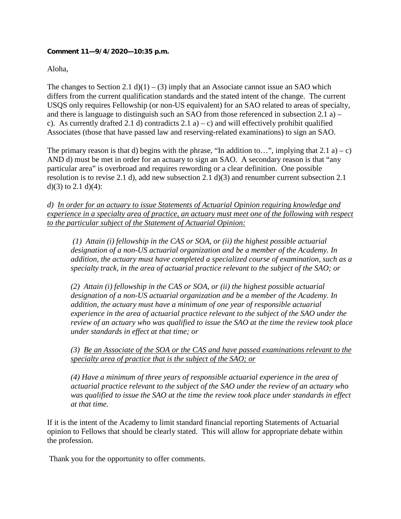## **Comment 11—9/4/2020—10:35 p.m.**

## Aloha,

The changes to Section 2.1 d)(1) – (3) imply that an Associate cannot issue an SAO which differs from the current qualification standards and the stated intent of the change. The current USQS only requires Fellowship (or non-US equivalent) for an SAO related to areas of specialty, and there is language to distinguish such an SAO from those referenced in subsection 2.1 a) – c). As currently drafted 2.1 d) contradicts  $2.1 a$  – c) and will effectively prohibit qualified Associates (those that have passed law and reserving-related examinations) to sign an SAO.

The primary reason is that d) begins with the phrase, "In addition to...", implying that  $2.1$  a) – c) AND d) must be met in order for an actuary to sign an SAO. A secondary reason is that "any particular area" is overbroad and requires rewording or a clear definition. One possible resolution is to revise 2.1 d), add new subsection 2.1 d)(3) and renumber current subsection 2.1 d)(3) to 2.1 d)(4):

*d) In order for an actuary to issue Statements of Actuarial Opinion requiring knowledge and experience in a specialty area of practice, an actuary must meet one of the following with respect to the particular subject of the Statement of Actuarial Opinion:*

*(1) Attain (i) fellowship in the CAS or SOA, or (ii) the highest possible actuarial designation of a non-US actuarial organization and be a member of the Academy. In addition, the actuary must have completed a specialized course of examination, such as a specialty track, in the area of actuarial practice relevant to the subject of the SAO; or* 

*(2) Attain (i) fellowship in the CAS or SOA, or (ii) the highest possible actuarial designation of a non-US actuarial organization and be a member of the Academy. In addition, the actuary must have a minimum of one year of responsible actuarial experience in the area of actuarial practice relevant to the subject of the SAO under the review of an actuary who was qualified to issue the SAO at the time the review took place under standards in effect at that time; or* 

*(3) Be an Associate of the SOA or the CAS and have passed examinations relevant to the specialty area of practice that is the subject of the SAO; or*

*(4) Have a minimum of three years of responsible actuarial experience in the area of actuarial practice relevant to the subject of the SAO under the review of an actuary who was qualified to issue the SAO at the time the review took place under standards in effect at that time.*

If it is the intent of the Academy to limit standard financial reporting Statements of Actuarial opinion to Fellows that should be clearly stated. This will allow for appropriate debate within the profession.

Thank you for the opportunity to offer comments.